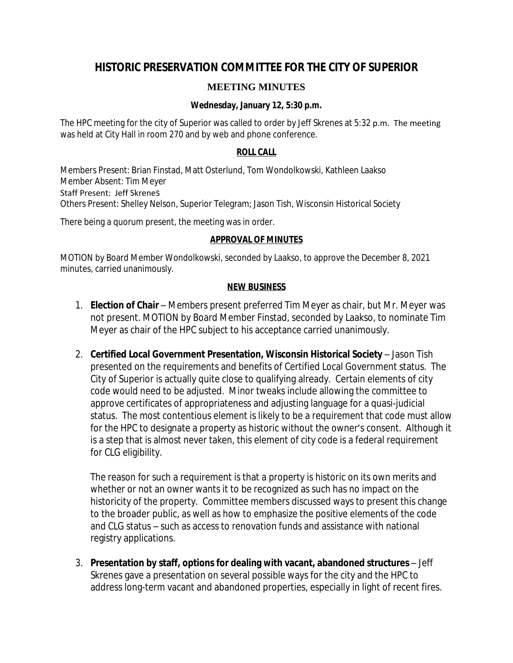# **HISTORIC PRESERVATION COMMITTEE FOR THE CITY OF SUPERIOR**

## **MEETING MINUTES**

### **Wednesday, January 12, 5:30 p.m.**

The HPC meeting for the city of Superior was called to order by Jeff Skrenes at 5:32 p.m. The meeting was held at City Hall in room 270 and by web and phone conference.

#### **ROLL CALL**

Members Present: Brian Finstad, Matt Osterlund, Tom Wondolkowski, Kathleen Laakso Member Absent: Tim Meyer Staff Present: Jeff Skrenes Others Present: Shelley Nelson, Superior Telegram; Jason Tish, Wisconsin Historical Society

There being a quorum present, the meeting was in order.

### **APPROVAL OF MINUTES**

MOTION by Board Member Wondolkowski, seconded by Laakso, to approve the December 8, 2021 minutes, carried unanimously.

#### **NEW BUSINESS**

- 1. **Election of Chair** Members present preferred Tim Meyer as chair, but Mr. Meyer was not present. MOTION by Board Member Finstad, seconded by Laakso, to nominate Tim Meyer as chair of the HPC subject to his acceptance carried unanimously.
- 2. **Certified Local Government Presentation, Wisconsin Historical Society** Jason Tish presented on the requirements and benefits of Certified Local Government status. The City of Superior is actually quite close to qualifying already. Certain elements of city code would need to be adjusted. Minor tweaks include allowing the committee to approve certificates of appropriateness and adjusting language for a quasi-judicial status. The most contentious element is likely to be a requirement that code must allow for the HPC to designate a property as historic without the owner's consent. Although it is a step that is almost never taken, this element of city code is a federal requirement for CLG eligibility.

The reason for such a requirement is that a property is historic on its own merits and whether or not an owner wants it to be recognized as such has no impact on the historicity of the property. Committee members discussed ways to present this change to the broader public, as well as how to emphasize the positive elements of the code and CLG status – such as access to renovation funds and assistance with national registry applications.

3. **Presentation by staff, options for dealing with vacant, abandoned structures** – Jeff Skrenes gave a presentation on several possible ways for the city and the HPC to address long-term vacant and abandoned properties, especially in light of recent fires.